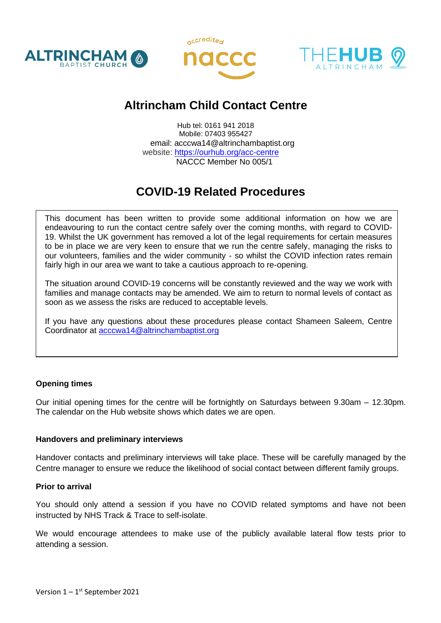





# **Altrincham Child Contact Centre**

Hub tel: 0161 941 2018 Mobile: 07403 955427 email: acccwa14@altrinchambaptist.org website: <https://ourhub.org/acc-centre> NACCC Member No 005/1

# **COVID-19 Related Procedures**

This document has been written to provide some additional information on how we are endeavouring to run the contact centre safely over the coming months, with regard to COVID-19. Whilst the UK government has removed a lot of the legal requirements for certain measures to be in place we are very keen to ensure that we run the centre safely, managing the risks to our volunteers, families and the wider community - so whilst the COVID infection rates remain fairly high in our area we want to take a cautious approach to re-opening.

The situation around COVID-19 concerns will be constantly reviewed and the way we work with families and manage contacts may be amended. We aim to return to normal levels of contact as soon as we assess the risks are reduced to acceptable levels.

If you have any questions about these procedures please contact Shameen Saleem, Centre Coordinator at [acccwa14@altrinchambaptist.org](mailto:acccwa14@altrinchambaptist.org)

## **Opening times**

Our initial opening times for the centre will be fortnightly on Saturdays between 9.30am – 12.30pm. The calendar on the Hub website shows which dates we are open.

#### **Handovers and preliminary interviews**

Handover contacts and preliminary interviews will take place. These will be carefully managed by the Centre manager to ensure we reduce the likelihood of social contact between different family groups.

#### **Prior to arrival**

You should only attend a session if you have no COVID related symptoms and have not been instructed by NHS Track & Trace to self-isolate.

We would encourage attendees to make use of the publicly available lateral flow tests prior to attending a session.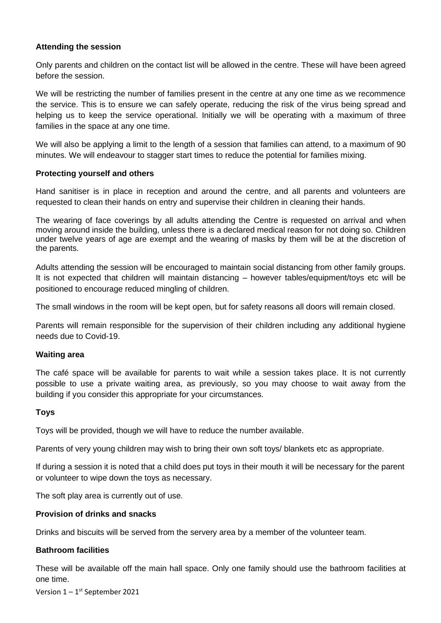#### **Attending the session**

Only parents and children on the contact list will be allowed in the centre. These will have been agreed before the session.

We will be restricting the number of families present in the centre at any one time as we recommence the service. This is to ensure we can safely operate, reducing the risk of the virus being spread and helping us to keep the service operational. Initially we will be operating with a maximum of three families in the space at any one time.

We will also be applying a limit to the length of a session that families can attend, to a maximum of 90 minutes. We will endeavour to stagger start times to reduce the potential for families mixing.

#### **Protecting yourself and others**

Hand sanitiser is in place in reception and around the centre, and all parents and volunteers are requested to clean their hands on entry and supervise their children in cleaning their hands.

The wearing of face coverings by all adults attending the Centre is requested on arrival and when moving around inside the building, unless there is a declared medical reason for not doing so. Children under twelve years of age are exempt and the wearing of masks by them will be at the discretion of the parents.

Adults attending the session will be encouraged to maintain social distancing from other family groups. It is not expected that children will maintain distancing – however tables/equipment/toys etc will be positioned to encourage reduced mingling of children.

The small windows in the room will be kept open, but for safety reasons all doors will remain closed.

Parents will remain responsible for the supervision of their children including any additional hygiene needs due to Covid-19.

#### **Waiting area**

The café space will be available for parents to wait while a session takes place. It is not currently possible to use a private waiting area, as previously, so you may choose to wait away from the building if you consider this appropriate for your circumstances.

#### **Toys**

Toys will be provided, though we will have to reduce the number available.

Parents of very young children may wish to bring their own soft toys/ blankets etc as appropriate.

If during a session it is noted that a child does put toys in their mouth it will be necessary for the parent or volunteer to wipe down the toys as necessary.

The soft play area is currently out of use.

#### **Provision of drinks and snacks**

Drinks and biscuits will be served from the servery area by a member of the volunteer team.

#### **Bathroom facilities**

These will be available off the main hall space. Only one family should use the bathroom facilities at one time.

Version 1 – 1<sup>st</sup> September 2021